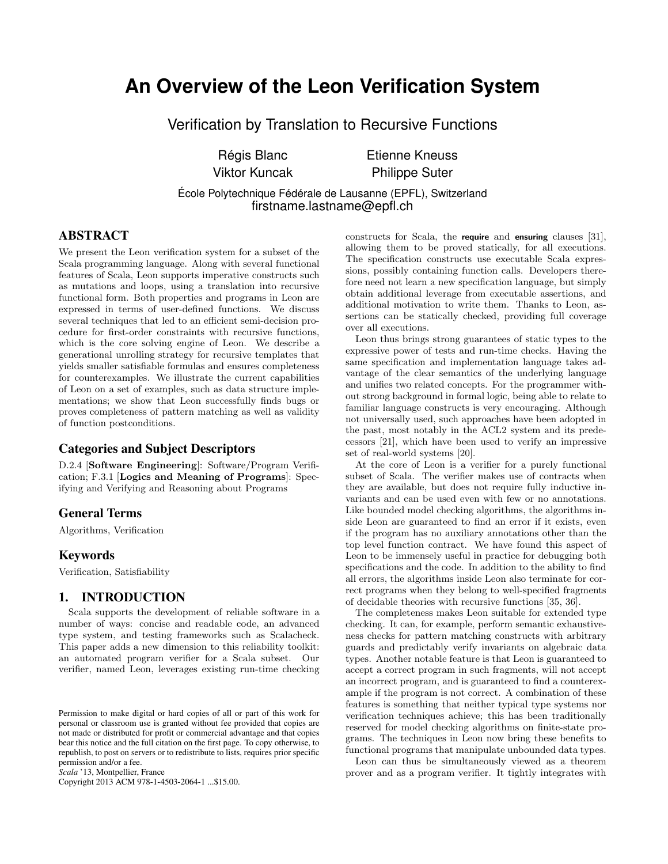# **An Overview of the Leon Verification System**

Verification by Translation to Recursive Functions

Régis Blanc **Etienne Kneuss** Viktor Kuncak Philippe Suter

École Polytechnique Fédérale de Lausanne (EPFL), Switzerland firstname.lastname@epfl.ch

# ABSTRACT

We present the Leon verification system for a subset of the Scala programming language. Along with several functional features of Scala, Leon supports imperative constructs such as mutations and loops, using a translation into recursive functional form. Both properties and programs in Leon are expressed in terms of user-defined functions. We discuss several techniques that led to an efficient semi-decision procedure for first-order constraints with recursive functions, which is the core solving engine of Leon. We describe a generational unrolling strategy for recursive templates that yields smaller satisfiable formulas and ensures completeness for counterexamples. We illustrate the current capabilities of Leon on a set of examples, such as data structure implementations; we show that Leon successfully finds bugs or proves completeness of pattern matching as well as validity of function postconditions.

# Categories and Subject Descriptors

D.2.4 [Software Engineering]: Software/Program Verification; F.3.1 [Logics and Meaning of Programs]: Specifying and Verifying and Reasoning about Programs

# General Terms

Algorithms, Verification

## Keywords

Verification, Satisfiability

# 1. INTRODUCTION

Scala supports the development of reliable software in a number of ways: concise and readable code, an advanced type system, and testing frameworks such as Scalacheck. This paper adds a new dimension to this reliability toolkit: an automated program verifier for a Scala subset. Our verifier, named Leon, leverages existing run-time checking

*Scala* '13, Montpellier, France

Copyright 2013 ACM 978-1-4503-2064-1 ...\$15.00.

constructs for Scala, the require and ensuring clauses [31], allowing them to be proved statically, for all executions. The specification constructs use executable Scala expressions, possibly containing function calls. Developers therefore need not learn a new specification language, but simply obtain additional leverage from executable assertions, and additional motivation to write them. Thanks to Leon, assertions can be statically checked, providing full coverage over all executions.

Leon thus brings strong guarantees of static types to the expressive power of tests and run-time checks. Having the same specification and implementation language takes advantage of the clear semantics of the underlying language and unifies two related concepts. For the programmer without strong background in formal logic, being able to relate to familiar language constructs is very encouraging. Although not universally used, such approaches have been adopted in the past, most notably in the ACL2 system and its predecessors [21], which have been used to verify an impressive set of real-world systems [20].

At the core of Leon is a verifier for a purely functional subset of Scala. The verifier makes use of contracts when they are available, but does not require fully inductive invariants and can be used even with few or no annotations. Like bounded model checking algorithms, the algorithms inside Leon are guaranteed to find an error if it exists, even if the program has no auxiliary annotations other than the top level function contract. We have found this aspect of Leon to be immensely useful in practice for debugging both specifications and the code. In addition to the ability to find all errors, the algorithms inside Leon also terminate for correct programs when they belong to well-specified fragments of decidable theories with recursive functions [35, 36].

The completeness makes Leon suitable for extended type checking. It can, for example, perform semantic exhaustiveness checks for pattern matching constructs with arbitrary guards and predictably verify invariants on algebraic data types. Another notable feature is that Leon is guaranteed to accept a correct program in such fragments, will not accept an incorrect program, and is guaranteed to find a counterexample if the program is not correct. A combination of these features is something that neither typical type systems nor verification techniques achieve; this has been traditionally reserved for model checking algorithms on finite-state programs. The techniques in Leon now bring these benefits to functional programs that manipulate unbounded data types.

Leon can thus be simultaneously viewed as a theorem prover and as a program verifier. It tightly integrates with

Permission to make digital or hard copies of all or part of this work for personal or classroom use is granted without fee provided that copies are not made or distributed for profit or commercial advantage and that copies bear this notice and the full citation on the first page. To copy otherwise, to republish, to post on servers or to redistribute to lists, requires prior specific permission and/or a fee.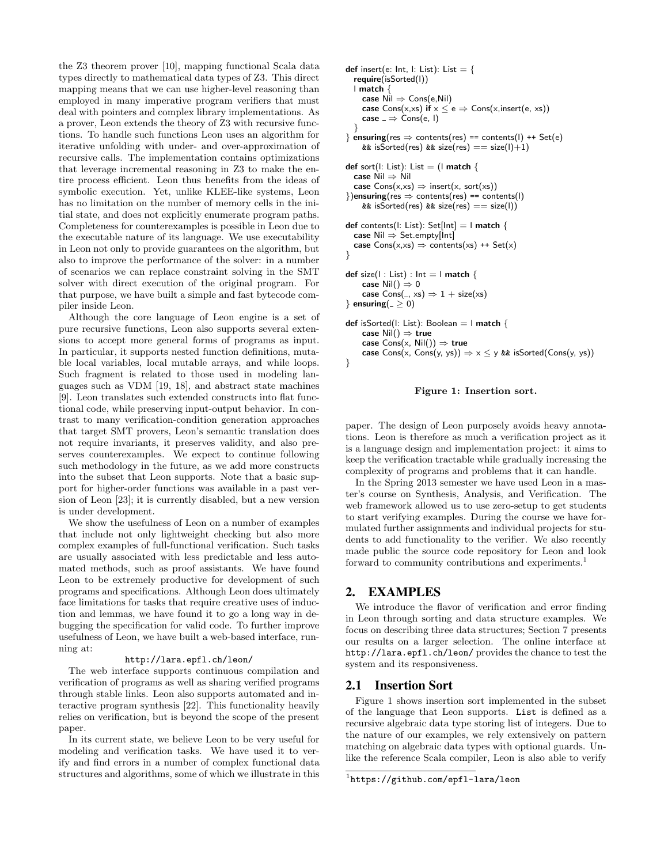the Z3 theorem prover [10], mapping functional Scala data types directly to mathematical data types of Z3. This direct mapping means that we can use higher-level reasoning than employed in many imperative program verifiers that must deal with pointers and complex library implementations. As a prover, Leon extends the theory of Z3 with recursive functions. To handle such functions Leon uses an algorithm for iterative unfolding with under- and over-approximation of recursive calls. The implementation contains optimizations that leverage incremental reasoning in Z3 to make the entire process efficient. Leon thus benefits from the ideas of symbolic execution. Yet, unlike KLEE-like systems, Leon has no limitation on the number of memory cells in the initial state, and does not explicitly enumerate program paths. Completeness for counterexamples is possible in Leon due to the executable nature of its language. We use executability in Leon not only to provide guarantees on the algorithm, but also to improve the performance of the solver: in a number of scenarios we can replace constraint solving in the SMT solver with direct execution of the original program. For that purpose, we have built a simple and fast bytecode compiler inside Leon.

Although the core language of Leon engine is a set of pure recursive functions, Leon also supports several extensions to accept more general forms of programs as input. In particular, it supports nested function definitions, mutable local variables, local mutable arrays, and while loops. Such fragment is related to those used in modeling languages such as VDM [19, 18], and abstract state machines [9]. Leon translates such extended constructs into flat functional code, while preserving input-output behavior. In contrast to many verification-condition generation approaches that target SMT provers, Leon's semantic translation does not require invariants, it preserves validity, and also preserves counterexamples. We expect to continue following such methodology in the future, as we add more constructs into the subset that Leon supports. Note that a basic support for higher-order functions was available in a past version of Leon [23]; it is currently disabled, but a new version is under development.

We show the usefulness of Leon on a number of examples that include not only lightweight checking but also more complex examples of full-functional verification. Such tasks are usually associated with less predictable and less automated methods, such as proof assistants. We have found Leon to be extremely productive for development of such programs and specifications. Although Leon does ultimately face limitations for tasks that require creative uses of induction and lemmas, we have found it to go a long way in debugging the specification for valid code. To further improve usefulness of Leon, we have built a web-based interface, running at:

#### http://lara.epfl.ch/leon/

The web interface supports continuous compilation and verification of programs as well as sharing verified programs through stable links. Leon also supports automated and interactive program synthesis [22]. This functionality heavily relies on verification, but is beyond the scope of the present paper.

In its current state, we believe Leon to be very useful for modeling and verification tasks. We have used it to verify and find errors in a number of complex functional data structures and algorithms, some of which we illustrate in this

```
def insert(e: Int, I: List): List = {
  require(isSorted(l))
  l match {
     case Nil ⇒ Cons(e.Nil)
     case Cons(x,xs) if x \le e \Rightarrow Cons(x,insert(e, xs))
     case = \Rightarrow Cons(e, 1)
   }
} ensuring(res \Rightarrow contents(res) == contents(l) ++ Set(e)
     && isSorted(res) && size(res) == size(l)+1)
def sort(l: List): List = (l match {
  case Nil ⇒ Nil
  case Cons(x, xs) \Rightarrow insert(x, sort(xs))})ensuring(res \Rightarrow contents(res) == contents(l)
     && isSorted(res) && size(res) == size(l))
def contents(l: List): Set[Int] = \vert match {
  case Nil \Rightarrow Set.empty[Int]
  case Cons(x, xs) \Rightarrow contents(xs) ++ Set(x)}
def size(l : List) : Int = 1 match {
     case Nil() \Rightarrow 0case Cons(, xs) \Rightarrow 1 + size(xs)} ensuring(\geq 0)
def isSorted(l: List): Boolean = \vert match {
     case Nil() \Rightarrow truecase Cons(x, Nil()) \Rightarrow true
     case Cons(x, Cons(y, ys)) \Rightarrow x \leq y && isSorted(Cons(y, ys))
}
```
#### Figure 1: Insertion sort.

paper. The design of Leon purposely avoids heavy annotations. Leon is therefore as much a verification project as it is a language design and implementation project: it aims to keep the verification tractable while gradually increasing the complexity of programs and problems that it can handle.

In the Spring 2013 semester we have used Leon in a master's course on Synthesis, Analysis, and Verification. The web framework allowed us to use zero-setup to get students to start verifying examples. During the course we have formulated further assignments and individual projects for students to add functionality to the verifier. We also recently made public the source code repository for Leon and look forward to community contributions and experiments.<sup>1</sup>

# 2. EXAMPLES

We introduce the flavor of verification and error finding in Leon through sorting and data structure examples. We focus on describing three data structures; Section 7 presents our results on a larger selection. The online interface at http://lara.epfl.ch/leon/ provides the chance to test the system and its responsiveness.

### 2.1 Insertion Sort

Figure 1 shows insertion sort implemented in the subset of the language that Leon supports. List is defined as a recursive algebraic data type storing list of integers. Due to the nature of our examples, we rely extensively on pattern matching on algebraic data types with optional guards. Unlike the reference Scala compiler, Leon is also able to verify

 $\frac{1}{1}$ https://github.com/epfl-lara/leon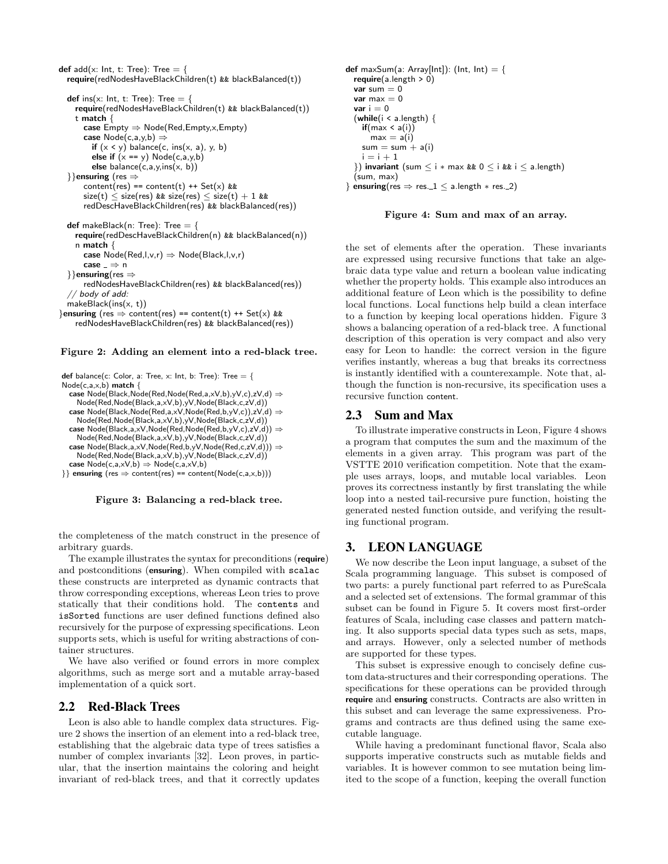```
def add(x: Int, t: Tree): Tree = {
  require(redNodesHaveBlackChildren(t) && blackBalanced(t))
  def ins(x: Int, t: Tree): Tree = {
    require(redNodesHaveBlackChildren(t) && blackBalanced(t))
    t match {
      case Empty \Rightarrow Node(Red,Empty, x,Empty)case Node(c,a,y,b) \Rightarrowif (x < y) balance(c, ins(x, a), y, b)else if (x == y) Node(c,a,y,b)else balance(c,a,y,ins(x, b))\}ensuring (res \Rightarrowcontent(res) == content(t) ++ Set(x) &&
      size(t) \le size(res) && size(res) \le size(t) + 1 &&
      redDescHaveBlackChildren(res) && blackBalanced(res))
  def makeBlack(n: Tree): Tree = {
    require(redDescHaveBlackChildren(n) && blackBalanced(n))
    n match {
      case Node(Red,l,v,r) \Rightarrow Node(Black,l,v,r)
      case \Rightarrow n
  }}ensuring(res ⇒
      redNodesHaveBlackChildren(res) && blackBalanced(res))
  // body of add:
  makeBlack(ins(x, t))
}ensuring (res \Rightarrow content(res) == content(t) ++ Set(x) &&
    redNodesHaveBlackChildren(res) && blackBalanced(res))
```
Figure 2: Adding an element into a red-black tree.

```
def balance(c: Color, a: Tree, x: Int, b: Tree): Tree = {
Node(c,a,x,b) match {
  case Node(Black,Node(Red,Node(Red,a,xV,b),yV,c),zV,d) ⇒
    Node(Red,Node(Black,a,xV,b),yV,Node(Black,c,zV,d))
  case Node(Black,Node(Red,a,xV,Node(Red,b,yV,c)),zV,d) \RightarrowNode(Red,Node(Black,a,xV,b),yV,Node(Black,c,zV,d))
  case Node(Black,a,xV,Node(Red,Node(Red,b,yV,c),zV,d)) ⇒
  Node(Red,Node(Black,a,xV,b),yV,Node(Black,c,zV,d))
case Node(Black,a,xV,Node(Red,b,yV,Node(Red,c,zV,d))) ⇒
    Node(Red,Node(Black,a,xV,b),yV,Node(Black,c,zV,d))
  case Node(c,a,xV,b) \Rightarrow Node(c,a,xV,b)
```


Figure 3: Balancing a red-black tree.

the completeness of the match construct in the presence of arbitrary guards.

The example illustrates the syntax for preconditions (require) and postconditions (ensuring). When compiled with scalac these constructs are interpreted as dynamic contracts that throw corresponding exceptions, whereas Leon tries to prove statically that their conditions hold. The contents and isSorted functions are user defined functions defined also recursively for the purpose of expressing specifications. Leon supports sets, which is useful for writing abstractions of container structures.

We have also verified or found errors in more complex algorithms, such as merge sort and a mutable array-based implementation of a quick sort.

## 2.2 Red-Black Trees

Leon is also able to handle complex data structures. Figure 2 shows the insertion of an element into a red-black tree, establishing that the algebraic data type of trees satisfies a number of complex invariants [32]. Leon proves, in particular, that the insertion maintains the coloring and height invariant of red-black trees, and that it correctly updates

```
def maxSum(a: Array[lnt]): (lnt, lnt) = {
  require(a.length > 0)
  var sum = 0var max = 0var i = 0(while(i \le a.length) {
    if(max < a(i))max = a(i)sum = sum + a(i)i = i + 1}) invariant (sum \leq i * max && 0 \leq i && i \leq a.length)
  (sum, max)
} ensuring(res \Rightarrow res. 1 \leq a.length * res. 2)
```
Figure 4: Sum and max of an array.

the set of elements after the operation. These invariants are expressed using recursive functions that take an algebraic data type value and return a boolean value indicating whether the property holds. This example also introduces an additional feature of Leon which is the possibility to define local functions. Local functions help build a clean interface to a function by keeping local operations hidden. Figure 3 shows a balancing operation of a red-black tree. A functional description of this operation is very compact and also very easy for Leon to handle: the correct version in the figure verifies instantly, whereas a bug that breaks its correctness is instantly identified with a counterexample. Note that, although the function is non-recursive, its specification uses a recursive function content.

### 2.3 Sum and Max

To illustrate imperative constructs in Leon, Figure 4 shows a program that computes the sum and the maximum of the elements in a given array. This program was part of the VSTTE 2010 verification competition. Note that the example uses arrays, loops, and mutable local variables. Leon proves its correctness instantly by first translating the while loop into a nested tail-recursive pure function, hoisting the generated nested function outside, and verifying the resulting functional program.

# 3. LEON LANGUAGE

We now describe the Leon input language, a subset of the Scala programming language. This subset is composed of two parts: a purely functional part referred to as PureScala and a selected set of extensions. The formal grammar of this subset can be found in Figure 5. It covers most first-order features of Scala, including case classes and pattern matching. It also supports special data types such as sets, maps, and arrays. However, only a selected number of methods are supported for these types.

This subset is expressive enough to concisely define custom data-structures and their corresponding operations. The specifications for these operations can be provided through require and ensuring constructs. Contracts are also written in this subset and can leverage the same expressiveness. Programs and contracts are thus defined using the same executable language.

While having a predominant functional flavor, Scala also supports imperative constructs such as mutable fields and variables. It is however common to see mutation being limited to the scope of a function, keeping the overall function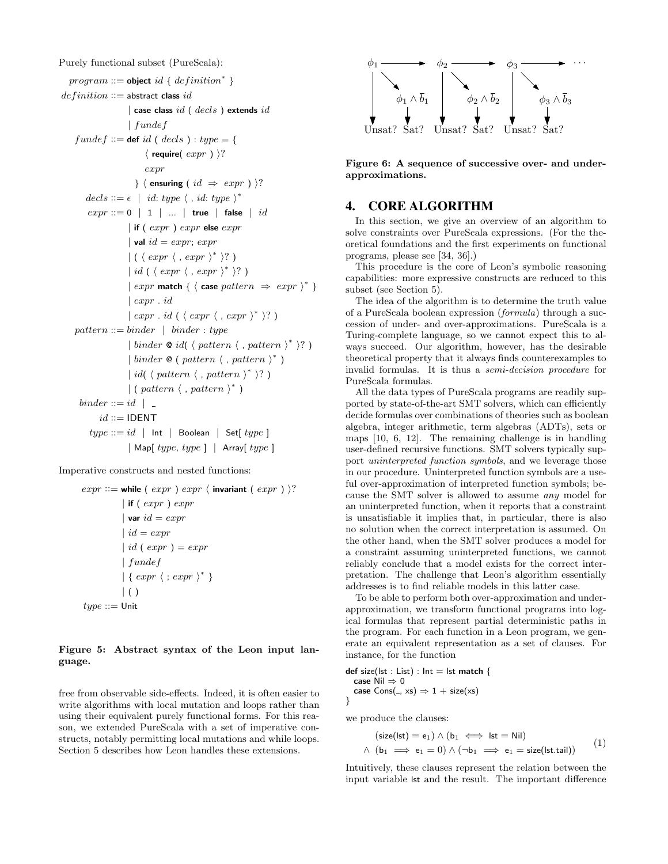Purely functional subset (PureScala):

```
program  ::= object id { definition<sup>*</sup> }
definition ::= abstract class id| case class id ( decls ) extends id| fundef
    fundef ::= def id ( decls ) : type = {
                           \langle require( expr ) \rangle?
                            expr
                        \} \langle ensuring ( id \Rightarrow expr ) ?decls ::= \epsilon \mid id: type \langle , id: type \rangle^*expr ::= 0 | 1 | ... | true | false | id| if ( expr ) expr else expr| val id = expr: expr\vert \left( \langle \text{expr} \langle \text{expr} \rangle^* \rangle \right) \rangle| id ( \langle \text{ expr } \langle \text{ , expr } \rangle^* \rangle? )
                      | expr match { \langle case pattern \Rightarrow expr \rangle^* }
                      | expr . id
                      \vert expr : id \in \langle expr \langle , expr \rangle^* \rangle?pattern ::= binder \mid binder : type| binder \mathcal{Q} id( \langle pattern \langle, pattern \rangle^* \rangle?)
                      | binder \mathcal{Q} ( pattern \langle , pattern \rangle^* )
                      | id( \langle pattern \langle, pattern \rangle^* \rangle?)
                      \vert (pattern \langle, pattern \rangle^*)
      binder  ::= id \midid ::= IDENT
         type ::= id \mid Int \mid Boolean \mid Set[type]| Map[ type, type ] | Array[ type ]
```
Imperative constructs and nested functions:

$$
expr ::= \text{while } (expr) \text{ expr } \langle \text{ invariant } (expr) \rangle?
$$
\n
$$
| if (expr) \text{ expr}
$$
\n
$$
| var id = expr
$$
\n
$$
| id = expr
$$
\n
$$
| id (expr) = expr
$$
\n
$$
| fundef
$$
\n
$$
| { expr \langle : expr \rangle^* }
$$
\n
$$
| ()
$$
\n
$$
type ::= Unit
$$

### Figure 5: Abstract syntax of the Leon input language.

free from observable side-effects. Indeed, it is often easier to write algorithms with local mutation and loops rather than using their equivalent purely functional forms. For this reason, we extended PureScala with a set of imperative constructs, notably permitting local mutations and while loops. Section 5 describes how Leon handles these extensions.



Figure 6: A sequence of successive over- and underapproximations.

# 4. CORE ALGORITHM

In this section, we give an overview of an algorithm to solve constraints over PureScala expressions. (For the theoretical foundations and the first experiments on functional programs, please see [34, 36].)

This procedure is the core of Leon's symbolic reasoning capabilities: more expressive constructs are reduced to this subset (see Section 5).

The idea of the algorithm is to determine the truth value of a PureScala boolean expression (formula) through a succession of under- and over-approximations. PureScala is a Turing-complete language, so we cannot expect this to always succeed. Our algorithm, however, has the desirable theoretical property that it always finds counterexamples to invalid formulas. It is thus a semi-decision procedure for PureScala formulas.

All the data types of PureScala programs are readily supported by state-of-the-art SMT solvers, which can efficiently decide formulas over combinations of theories such as boolean algebra, integer arithmetic, term algebras (ADTs), sets or maps [10, 6, 12]. The remaining challenge is in handling user-defined recursive functions. SMT solvers typically support uninterpreted function symbols, and we leverage those in our procedure. Uninterpreted function symbols are a useful over-approximation of interpreted function symbols; because the SMT solver is allowed to assume any model for an uninterpreted function, when it reports that a constraint is unsatisfiable it implies that, in particular, there is also no solution when the correct interpretation is assumed. On the other hand, when the SMT solver produces a model for a constraint assuming uninterpreted functions, we cannot reliably conclude that a model exists for the correct interpretation. The challenge that Leon's algorithm essentially addresses is to find reliable models in this latter case.

To be able to perform both over-approximation and underapproximation, we transform functional programs into logical formulas that represent partial deterministic paths in the program. For each function in a Leon program, we generate an equivalent representation as a set of clauses. For instance, for the function

```
def size(lst : List) : Int = lst match {
  case Nil \Rightarrow 0
  case Cons(, xs) \Rightarrow 1 + size(xs)}
```
we produce the clauses:

$$
(\text{size}(\text{lst}) = e_1) \land (b_1 \iff \text{lst} = \text{Nil})
$$
  
 
$$
\land (b_1 \implies e_1 = 0) \land (\neg b_1 \implies e_1 = \text{size}(\text{lst.tail}))
$$
 (1)

Intuitively, these clauses represent the relation between the input variable lst and the result. The important difference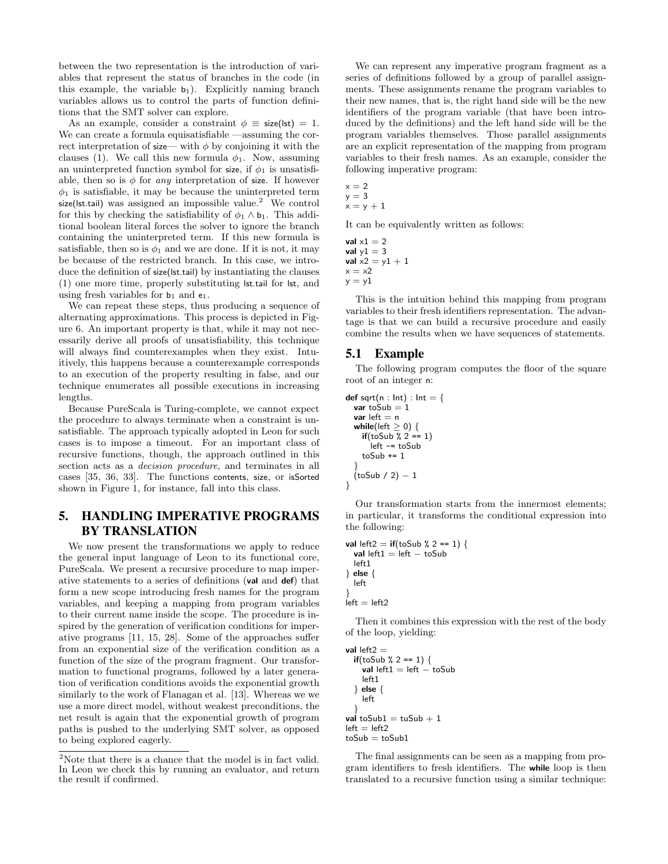between the two representation is the introduction of variables that represent the status of branches in the code (in this example, the variable  $b_1$ ). Explicitly naming branch variables allows us to control the parts of function definitions that the SMT solver can explore.

As an example, consider a constraint  $\phi \equiv \text{size}(\text{lst}) = 1$ . We can create a formula equisatisfiable —assuming the correct interpretation of size— with  $\phi$  by conjoining it with the clauses (1). We call this new formula  $\phi_1$ . Now, assuming an uninterpreted function symbol for size, if  $\phi_1$  is unsatisfiable, then so is  $\phi$  for any interpretation of size. If however  $\phi_1$  is satisfiable, it may be because the uninterpreted term  $size($ lst.tail) was assigned an impossible value. $2$  We control for this by checking the satisfiability of  $\phi_1 \wedge \mathbf{b}_1$ . This additional boolean literal forces the solver to ignore the branch containing the uninterpreted term. If this new formula is satisfiable, then so is  $\phi_1$  and we are done. If it is not, it may be because of the restricted branch. In this case, we introduce the definition of size(lst.tail) by instantiating the clauses (1) one more time, properly substituting lst.tail for lst, and using fresh variables for  $b_1$  and  $e_1$ .

We can repeat these steps, thus producing a sequence of alternating approximations. This process is depicted in Figure 6. An important property is that, while it may not necessarily derive all proofs of unsatisfiability, this technique will always find counterexamples when they exist. Intuitively, this happens because a counterexample corresponds to an execution of the property resulting in false, and our technique enumerates all possible executions in increasing lengths.

Because PureScala is Turing-complete, we cannot expect the procedure to always terminate when a constraint is unsatisfiable. The approach typically adopted in Leon for such cases is to impose a timeout. For an important class of recursive functions, though, the approach outlined in this section acts as a decision procedure, and terminates in all cases [35, 36, 33]. The functions contents, size, or isSorted shown in Figure 1, for instance, fall into this class.

# 5. HANDLING IMPERATIVE PROGRAMS BY TRANSLATION

We now present the transformations we apply to reduce the general input language of Leon to its functional core, PureScala. We present a recursive procedure to map imperative statements to a series of definitions (val and def) that form a new scope introducing fresh names for the program variables, and keeping a mapping from program variables to their current name inside the scope. The procedure is inspired by the generation of verification conditions for imperative programs [11, 15, 28]. Some of the approaches suffer from an exponential size of the verification condition as a function of the size of the program fragment. Our transformation to functional programs, followed by a later generation of verification conditions avoids the exponential growth similarly to the work of Flanagan et al. [13]. Whereas we we use a more direct model, without weakest preconditions, the net result is again that the exponential growth of program paths is pushed to the underlying SMT solver, as opposed to being explored eagerly.

We can represent any imperative program fragment as a series of definitions followed by a group of parallel assignments. These assignments rename the program variables to their new names, that is, the right hand side will be the new identifiers of the program variable (that have been introduced by the definitions) and the left hand side will be the program variables themselves. Those parallel assignments are an explicit representation of the mapping from program variables to their fresh names. As an example, consider the following imperative program:

$$
x = 2
$$
  
y = 3  
x = y + 1

It can be equivalently written as follows:

val  $x1 = 2$ val  $y1 = 3$ **val**  $x^2 = y^1 + 1$  $x = x2$  $y = y1$ 

This is the intuition behind this mapping from program variables to their fresh identifiers representation. The advantage is that we can build a recursive procedure and easily combine the results when we have sequences of statements.

# 5.1 Example

The following program computes the floor of the square root of an integer n:

```
def sqrt(n : lnt) : lnt = {
  var to\overrightarrow{Sub} = 1var left = nwhile(left \geq 0) {
    if(toSub % 2 == 1)
       left -= toSub
     toSub += 1}
  (toSub / 2) – 1
}
```
Our transformation starts from the innermost elements; in particular, it transforms the conditional expression into the following:

```
val left2 = if(toSub % 2 == 1) {
  val left1 = left - toSub
  left1
} else {
  left
}
left = left2
```
Then it combines this expression with the rest of the body of the loop, yielding:

```
val left2 =if(toSub % 2 == 1) {
    val left1 = left - toSub
    left1
  } else {
    left
  }
val toSub1 = tuSub +1left = left2toSub = toSub1
```
The final assignments can be seen as a mapping from program identifiers to fresh identifiers. The while loop is then translated to a recursive function using a similar technique:

 $2$ Note that there is a chance that the model is in fact valid. In Leon we check this by running an evaluator, and return the result if confirmed.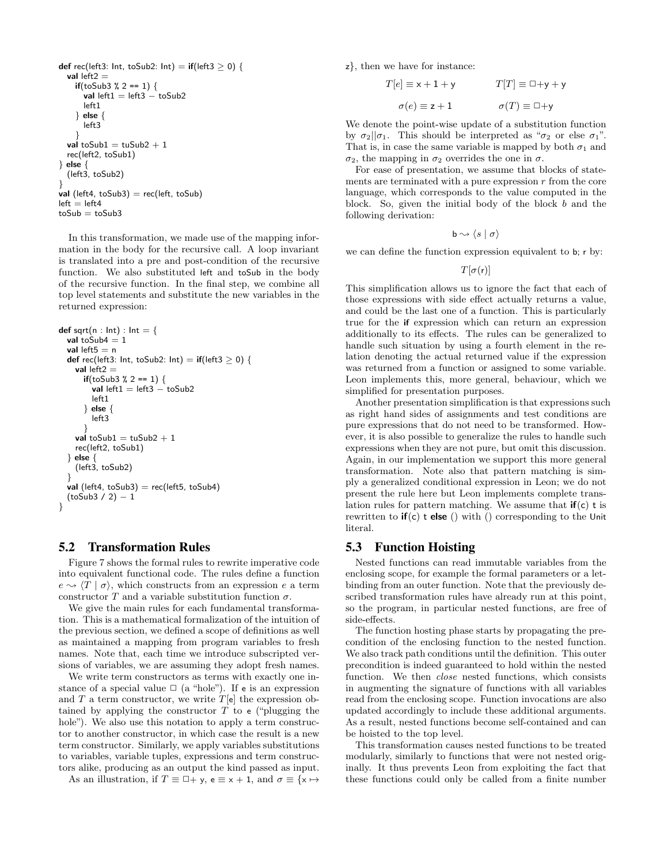```
def rec(left3: Int, toSub2: Int) = if(left3 > 0) {
  val left2 =if(toSub3 % 2 == 1) {
      \alphaval left1 = left3 – toSub2
      left1
    } else {
      left3
    }
  val toSub1 = tuSub2 +1rec(left2, toSub1)
} else {
  (left3, toSub2)
}
val (left4, toSub3) = rec(left, toSub)
left = left4toSub = toSub3
```
In this transformation, we made use of the mapping information in the body for the recursive call. A loop invariant is translated into a pre and post-condition of the recursive function. We also substituted left and toSub in the body of the recursive function. In the final step, we combine all top level statements and substitute the new variables in the returned expression:

```
def sqrt(n : lnt) : lnt = {
  val toSub4 = 1val left5 = ndef rec(left3: Int, toSub2: Int) = if(left3 \geq 0) {
    val left2 =if(toSub3 % 2 == 1) {
        val left1 = left3 - toSub2
        left1
      } else {
        left3
       }
    val toSub1 = tuSub2 +1rec(left2, toSub1)
  \} else \{(left3, toSub2)
  }
  val (left4, toSub3) = rec(left5, toSub4)
  (toSub3 / 2) - 1}
```
# 5.2 Transformation Rules

Figure 7 shows the formal rules to rewrite imperative code into equivalent functional code. The rules define a function  $e \sim \langle T | \sigma \rangle$ , which constructs from an expression e a term constructor T and a variable substitution function  $\sigma$ .

We give the main rules for each fundamental transformation. This is a mathematical formalization of the intuition of the previous section, we defined a scope of definitions as well as maintained a mapping from program variables to fresh names. Note that, each time we introduce subscripted versions of variables, we are assuming they adopt fresh names.

We write term constructors as terms with exactly one instance of a special value  $\Box$  (a "hole"). If e is an expression and T a term constructor, we write  $T[\mathbf{e}]$  the expression obtained by applying the constructor  $T$  to e ("plugging the hole"). We also use this notation to apply a term constructor to another constructor, in which case the result is a new term constructor. Similarly, we apply variables substitutions to variables, variable tuples, expressions and term constructors alike, producing as an output the kind passed as input.

As an illustration, if  $T \equiv \Box + y$ ,  $e \equiv x + 1$ , and  $\sigma \equiv \{x \mapsto$ 

z}, then we have for instance:

$$
T[e] \equiv x + 1 + y \qquad T[T] \equiv \Box + y + y
$$

$$
\sigma(e) \equiv z + 1 \qquad \sigma(T) \equiv \Box + y
$$

We denote the point-wise update of a substitution function by  $\sigma_2||\sigma_1$ . This should be interpreted as " $\sigma_2$  or else  $\sigma_1$ ". That is, in case the same variable is mapped by both  $\sigma_1$  and  $\sigma_2$ , the mapping in  $\sigma_2$  overrides the one in  $\sigma$ .

For ease of presentation, we assume that blocks of statements are terminated with a pure expression  $r$  from the core language, which corresponds to the value computed in the block. So, given the initial body of the block b and the following derivation:

$$
\mathsf{b}\leadsto \langle s\mid \sigma\rangle
$$

we can define the function expression equivalent to b; r by:

 $T[\sigma(r)]$ 

This simplification allows us to ignore the fact that each of those expressions with side effect actually returns a value, and could be the last one of a function. This is particularly true for the if expression which can return an expression additionally to its effects. The rules can be generalized to handle such situation by using a fourth element in the relation denoting the actual returned value if the expression was returned from a function or assigned to some variable. Leon implements this, more general, behaviour, which we simplified for presentation purposes.

Another presentation simplification is that expressions such as right hand sides of assignments and test conditions are pure expressions that do not need to be transformed. However, it is also possible to generalize the rules to handle such expressions when they are not pure, but omit this discussion. Again, in our implementation we support this more general transformation. Note also that pattern matching is simply a generalized conditional expression in Leon; we do not present the rule here but Leon implements complete translation rules for pattern matching. We assume that  $if(c)$  t is rewritten to  $\textbf{if}(c)$  t else () with () corresponding to the Unit literal.

# 5.3 Function Hoisting

Nested functions can read immutable variables from the enclosing scope, for example the formal parameters or a letbinding from an outer function. Note that the previously described transformation rules have already run at this point, so the program, in particular nested functions, are free of side-effects.

The function hosting phase starts by propagating the precondition of the enclosing function to the nested function. We also track path conditions until the definition. This outer precondition is indeed guaranteed to hold within the nested function. We then close nested functions, which consists in augmenting the signature of functions with all variables read from the enclosing scope. Function invocations are also updated accordingly to include these additional arguments. As a result, nested functions become self-contained and can be hoisted to the top level.

This transformation causes nested functions to be treated modularly, similarly to functions that were not nested originally. It thus prevents Leon from exploiting the fact that these functions could only be called from a finite number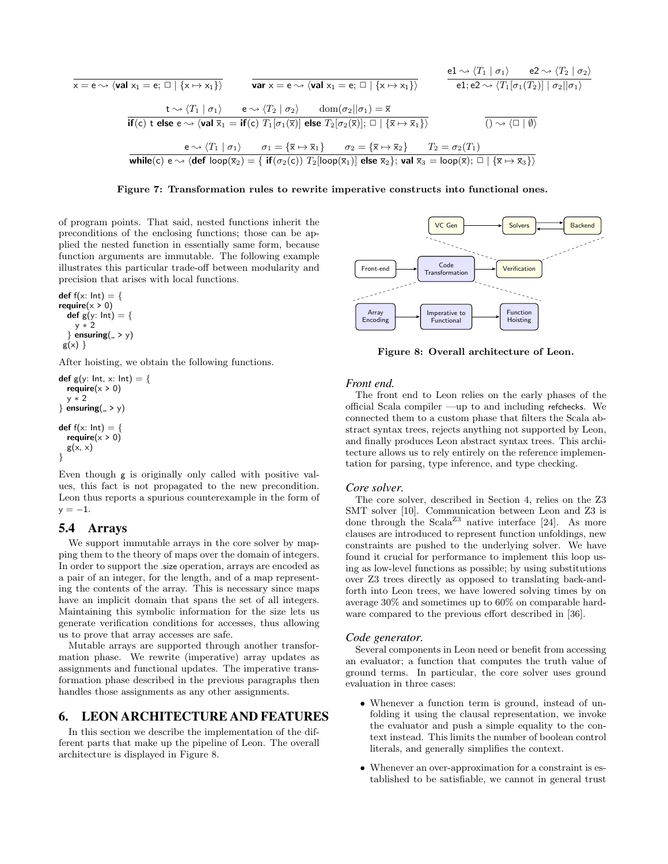$$
\frac{\mathsf{et} \rightsquigarrow \langle \mathsf{val} \times_1 = \mathsf{e}; \Box \mid \{ \mathsf{x} \mapsto \mathsf{x}_1 \} \rangle}{\mathsf{tr}(\mathsf{c}) \mathsf{t} \mathsf{else} \mathsf{e} \rightsquigarrow \langle \mathsf{val} \times_1 = \mathsf{if}(\mathsf{c}) \mathsf{T}_1 | \sigma_1 \rangle \qquad \mathsf{e} \rightsquigarrow \langle T_2 \mid \sigma_2 \rangle} \qquad \frac{\mathsf{et} \rightsquigarrow \langle T_1 \mid \sigma_1 \rangle \qquad \mathsf{e} \mathsf{2} \rightsquigarrow \langle T_2 \mid \sigma_2 \rangle}{\mathsf{if}(\mathsf{c}) \mathsf{t} \mathsf{else} \mathsf{e} \rightsquigarrow \langle \mathsf{val} \times_1 = \mathsf{if}(\mathsf{c}) \mathsf{T}_1 | \sigma_1 \rangle \qquad \mathsf{e} \rightsquigarrow \langle T_2 \mid \sigma_2 \rangle} \qquad \frac{\mathsf{dom}(\sigma_2 || \sigma_1) = \overline{\mathsf{x}}}{\mathsf{if}(\mathsf{c}) \mathsf{t} \mathsf{else} \mathsf{e} \rightsquigarrow \langle \mathsf{val} \times_1 = \mathsf{if}(\mathsf{c}) \mathsf{T}_1 | \sigma_1 \langle \overline{\mathsf{x}} \rangle | \mathsf{else} \mathsf{T}_2 [\sigma_2(\overline{\mathsf{x}})]; \Box \mid \{ \overline{\mathsf{x}} \mapsto \overline{\mathsf{x}}_1 \} \rangle} \qquad \frac{\mathsf{c} \rightsquigarrow \langle T_1 \mid \sigma_1 \rangle}{\mathsf{while}(\mathsf{c}) \mathsf{e} \rightsquigarrow \langle \mathsf{def} \mid \mathsf{loop}(\overline{\mathsf{x}}_2) = \{ \mathsf{if}(\sigma_2(\mathsf{c})) \mathsf{T}_2 [\mathsf{loop}(\overline{\mathsf{x}}_1)] \mathsf{else} \mathsf{x}_2 \}, \mathsf{val} \overline{\mathsf{x}}_3 = \mathsf{loop}(\overline{\mathsf{x}}); \Box \mid \{ \overline{\mathsf{x}} \mapsto \overline{\mathsf{x}}_3 \} \rangle}
$$

#### Figure 7: Transformation rules to rewrite imperative constructs into functional ones.

of program points. That said, nested functions inherit the preconditions of the enclosing functions; those can be applied the nested function in essentially same form, because function arguments are immutable. The following example illustrates this particular trade-off between modularity and precision that arises with local functions.

def  $f(x: Int) = \{$ require( $\times$  > 0) def g(y: lnt) = { y ∗ 2  $\}$  ensuring( $-$  > y)  $g(x)$ }

After hoisting, we obtain the following functions.

```
def g(y: Int, x: Int) = {
  require(x > 0)y ∗ 2
} ensuring(-y)
def f(x: Int) = \{require(\times > 0)
  g(x, x)}
```
Even though g is originally only called with positive values, this fact is not propagated to the new precondition. Leon thus reports a spurious counterexample in the form of  $y = -1.$ 

## 5.4 Arrays

We support immutable arrays in the core solver by mapping them to the theory of maps over the domain of integers. In order to support the .size operation, arrays are encoded as a pair of an integer, for the length, and of a map representing the contents of the array. This is necessary since maps have an implicit domain that spans the set of all integers. Maintaining this symbolic information for the size lets us generate verification conditions for accesses, thus allowing us to prove that array accesses are safe.

Mutable arrays are supported through another transformation phase. We rewrite (imperative) array updates as assignments and functional updates. The imperative transformation phase described in the previous paragraphs then handles those assignments as any other assignments.

# 6. LEON ARCHITECTURE AND FEATURES

In this section we describe the implementation of the different parts that make up the pipeline of Leon. The overall architecture is displayed in Figure 8.



Figure 8: Overall architecture of Leon.

### *Front end.*

The front end to Leon relies on the early phases of the official Scala compiler —up to and including refchecks. We connected them to a custom phase that filters the Scala abstract syntax trees, rejects anything not supported by Leon, and finally produces Leon abstract syntax trees. This architecture allows us to rely entirely on the reference implementation for parsing, type inference, and type checking.

#### *Core solver.*

The core solver, described in Section 4, relies on the Z3 SMT solver [10]. Communication between Leon and Z3 is done through the Scala<sup> $z_3$ </sup> native interface [24]. As more clauses are introduced to represent function unfoldings, new constraints are pushed to the underlying solver. We have found it crucial for performance to implement this loop using as low-level functions as possible; by using substitutions over Z3 trees directly as opposed to translating back-andforth into Leon trees, we have lowered solving times by on average 30% and sometimes up to 60% on comparable hardware compared to the previous effort described in [36].

#### *Code generator.*

Several components in Leon need or benefit from accessing an evaluator; a function that computes the truth value of ground terms. In particular, the core solver uses ground evaluation in three cases:

- Whenever a function term is ground, instead of unfolding it using the clausal representation, we invoke the evaluator and push a simple equality to the context instead. This limits the number of boolean control literals, and generally simplifies the context.
- Whenever an over-approximation for a constraint is established to be satisfiable, we cannot in general trust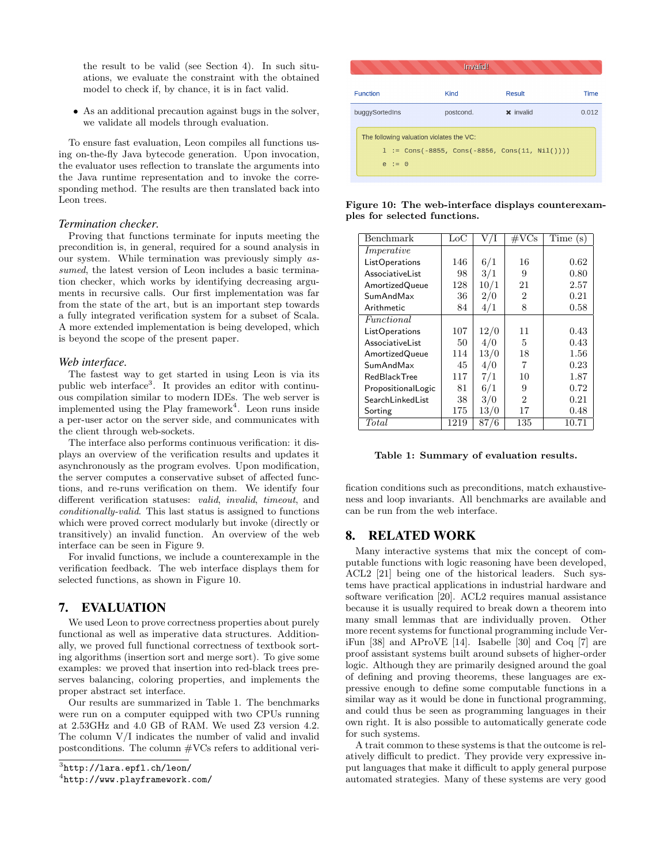the result to be valid (see Section 4). In such situations, we evaluate the constraint with the obtained model to check if, by chance, it is in fact valid.

• As an additional precaution against bugs in the solver, we validate all models through evaluation.

To ensure fast evaluation, Leon compiles all functions using on-the-fly Java bytecode generation. Upon invocation, the evaluator uses reflection to translate the arguments into the Java runtime representation and to invoke the corresponding method. The results are then translated back into Leon trees.

### *Termination checker.*

Proving that functions terminate for inputs meeting the precondition is, in general, required for a sound analysis in our system. While termination was previously simply assumed, the latest version of Leon includes a basic termination checker, which works by identifying decreasing arguments in recursive calls. Our first implementation was far from the state of the art, but is an important step towards a fully integrated verification system for a subset of Scala. A more extended implementation is being developed, which is beyond the scope of the present paper.

### *Web interface.*

The fastest way to get started in using Leon is via its public web interface<sup>3</sup>. It provides an editor with continuous compilation similar to modern IDEs. The web server is implemented using the Play framework<sup>4</sup>. Leon runs inside a per-user actor on the server side, and communicates with the client through web-sockets.

The interface also performs continuous verification: it displays an overview of the verification results and updates it asynchronously as the program evolves. Upon modification, the server computes a conservative subset of affected functions, and re-runs verification on them. We identify four different verification statuses: valid, invalid, timeout, and conditionally-valid. This last status is assigned to functions which were proved correct modularly but invoke (directly or transitively) an invalid function. An overview of the web interface can be seen in Figure 9.

For invalid functions, we include a counterexample in the verification feedback. The web interface displays them for selected functions, as shown in Figure 10.

## 7. EVALUATION

We used Leon to prove correctness properties about purely functional as well as imperative data structures. Additionally, we proved full functional correctness of textbook sorting algorithms (insertion sort and merge sort). To give some examples: we proved that insertion into red-black trees preserves balancing, coloring properties, and implements the proper abstract set interface.

Our results are summarized in Table 1. The benchmarks were run on a computer equipped with two CPUs running at 2.53GHz and 4.0 GB of RAM. We used Z3 version 4.2. The column V/I indicates the number of valid and invalid postconditions. The column #VCs refers to additional veri-

|                                                                                                                                    | Invalid!  |                  |             |  |
|------------------------------------------------------------------------------------------------------------------------------------|-----------|------------------|-------------|--|
| <b>Function</b>                                                                                                                    | Kind      | Result           | <b>Time</b> |  |
| buggySortedIns                                                                                                                     | postcond. | <b>x</b> invalid | 0.012       |  |
| The following valuation violates the VC:<br>$1 := \text{Cons}(-8855, \text{Cons}(-8856, \text{Cons}(11, \text{Nil}())$<br>$e := 0$ |           |                  |             |  |

| Figure 10: The web-interface displays counterexam- |  |
|----------------------------------------------------|--|
| ples for selected functions.                       |  |

| Benchmark             | $_{\rm LoC}$ |      | $\rm \#VCs$ | Time(s) |
|-----------------------|--------------|------|-------------|---------|
| Imperative            |              |      |             |         |
| <b>ListOperations</b> | 146          | 6/1  | 16          | 0.62    |
| AssociativeList       | 98           | 3/1  | 9           | 0.80    |
| AmortizedQueue        | 128          | 10/1 | 21          | 2.57    |
| SumAndMax             | 36           | 2/0  | 2           | 0.21    |
| Arithmetic            | 84           | 4/1  | 8           | 0.58    |
| Functional            |              |      |             |         |
| <b>ListOperations</b> | 107          | 12/0 | 11          | 0.43    |
| AssociativeList       | 50           | 4/0  | 5           | 0.43    |
| AmortizedQueue        | 114          | 13/0 | 18          | 1.56    |
| SumAndMax             | 45           | 4/0  | 7           | 0.23    |
| <b>RedBlackTree</b>   | 117          | 7/1  | 10          | 1.87    |
| PropositionalLogic    | 81           | 6/1  | 9           | 0.72    |
| SearchLinkedList      | 38           | 3/0  | 2           | 0.21    |
| Sorting               | 175          | 13/0 | 17          | 0.48    |
| Total                 | 1219         | 87/6 | 135         | 10.71   |

|  |  |  | Table 1: Summary of evaluation results. |  |
|--|--|--|-----------------------------------------|--|
|--|--|--|-----------------------------------------|--|

fication conditions such as preconditions, match exhaustiveness and loop invariants. All benchmarks are available and can be run from the web interface.

# 8. RELATED WORK

Many interactive systems that mix the concept of computable functions with logic reasoning have been developed, ACL2 [21] being one of the historical leaders. Such systems have practical applications in industrial hardware and software verification [20]. ACL2 requires manual assistance because it is usually required to break down a theorem into many small lemmas that are individually proven. Other more recent systems for functional programming include VeriFun [38] and AProVE [14]. Isabelle [30] and Coq [7] are proof assistant systems built around subsets of higher-order logic. Although they are primarily designed around the goal of defining and proving theorems, these languages are expressive enough to define some computable functions in a similar way as it would be done in functional programming, and could thus be seen as programming languages in their own right. It is also possible to automatically generate code for such systems.

A trait common to these systems is that the outcome is relatively difficult to predict. They provide very expressive input languages that make it difficult to apply general purpose automated strategies. Many of these systems are very good

 ${}^{3}$ http://lara.epfl.ch/leon/

<sup>4</sup> http://www.playframework.com/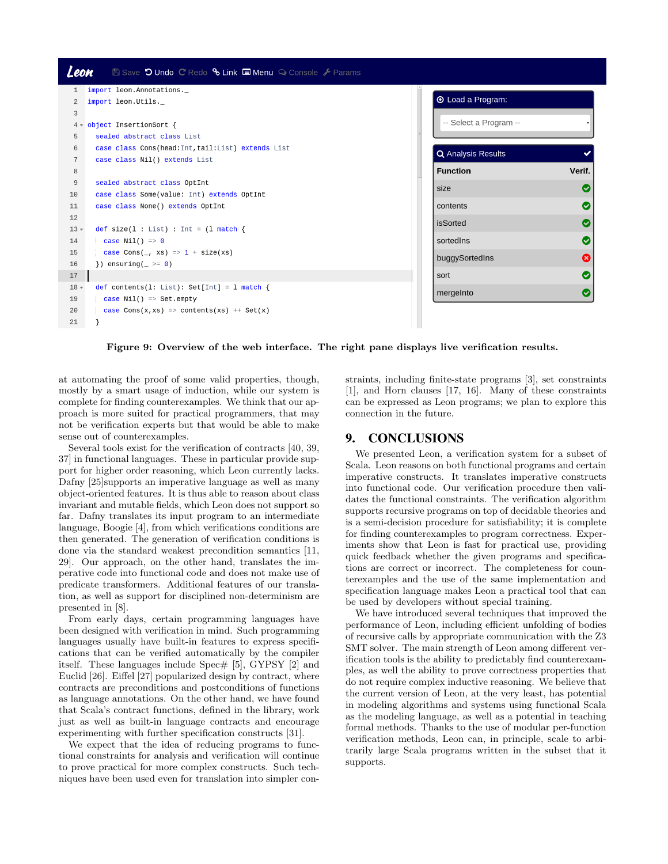| Leon           | <b>A</b> Save <b>D Undo C'</b> Redo % Link <b>E</b> Menu Q Console √ Params |                           |        |
|----------------|-----------------------------------------------------------------------------|---------------------------|--------|
| 1              | import leon.Annotations.                                                    |                           |        |
| $\overline{2}$ | import leon.Utils.                                                          | <b>1</b> Load a Program:  |        |
| 3              |                                                                             |                           |        |
|                | 4 - object InsertionSort {                                                  | -- Select a Program --    |        |
| 5              | sealed abstract class List                                                  |                           |        |
| 6              | case class Cons(head: Int, tail: List) extends List                         | <b>Q</b> Analysis Results |        |
| $\overline{7}$ | case class Nil() extends List                                               |                           |        |
| 8              |                                                                             | <b>Function</b>           | Verif. |
| 9              | sealed abstract class OptInt                                                | size                      | Ø      |
| 10             | case class Some(value: Int) extends OptInt                                  |                           |        |
| 11             | case class None() extends OptInt                                            | contents                  | Ø      |
| 12             |                                                                             | isSorted                  | Ø      |
| $13 -$         | def size(1 : List) : Int = $(1$ match {                                     |                           |        |
| 14             | case $Nil() \Rightarrow 0$                                                  | sortedIns                 | Ø      |
| 15             | case Cons( $(x, xs) \Rightarrow 1 + size(xs)$                               | buggySortedIns            | Ω      |
| 16             | }) ensuring( $\ge$ $\ge$ $\circ$ )                                          |                           |        |
| 17             |                                                                             | sort                      | Ø      |
| $18 -$         | def contents(1: List): Set[Int] = $1$ match {                               | mergelnto                 |        |
| 19             | case $Nil() \Rightarrow Set .empty$                                         |                           |        |
| 20             | case Cons(x, xs) => contents(xs) ++ Set(x)                                  |                           |        |
| 21             |                                                                             |                           |        |

Figure 9: Overview of the web interface. The right pane displays live verification results.

at automating the proof of some valid properties, though, mostly by a smart usage of induction, while our system is complete for finding counterexamples. We think that our approach is more suited for practical programmers, that may not be verification experts but that would be able to make sense out of counterexamples.

Several tools exist for the verification of contracts [40, 39, 37] in functional languages. These in particular provide support for higher order reasoning, which Leon currently lacks. Dafny [25]supports an imperative language as well as many object-oriented features. It is thus able to reason about class invariant and mutable fields, which Leon does not support so far. Dafny translates its input program to an intermediate language, Boogie [4], from which verifications conditions are then generated. The generation of verification conditions is done via the standard weakest precondition semantics [11, 29]. Our approach, on the other hand, translates the imperative code into functional code and does not make use of predicate transformers. Additional features of our translation, as well as support for disciplined non-determinism are presented in [8].

From early days, certain programming languages have been designed with verification in mind. Such programming languages usually have built-in features to express specifications that can be verified automatically by the compiler itself. These languages include Spec# [5], GYPSY [2] and Euclid [26]. Eiffel [27] popularized design by contract, where contracts are preconditions and postconditions of functions as language annotations. On the other hand, we have found that Scala's contract functions, defined in the library, work just as well as built-in language contracts and encourage experimenting with further specification constructs [31].

We expect that the idea of reducing programs to functional constraints for analysis and verification will continue to prove practical for more complex constructs. Such techniques have been used even for translation into simpler constraints, including finite-state programs [3], set constraints [1], and Horn clauses [17, 16]. Many of these constraints can be expressed as Leon programs; we plan to explore this connection in the future.

# 9. CONCLUSIONS

We presented Leon, a verification system for a subset of Scala. Leon reasons on both functional programs and certain imperative constructs. It translates imperative constructs into functional code. Our verification procedure then validates the functional constraints. The verification algorithm supports recursive programs on top of decidable theories and is a semi-decision procedure for satisfiability; it is complete for finding counterexamples to program correctness. Experiments show that Leon is fast for practical use, providing quick feedback whether the given programs and specifications are correct or incorrect. The completeness for counterexamples and the use of the same implementation and specification language makes Leon a practical tool that can be used by developers without special training.

We have introduced several techniques that improved the performance of Leon, including efficient unfolding of bodies of recursive calls by appropriate communication with the Z3 SMT solver. The main strength of Leon among different verification tools is the ability to predictably find counterexamples, as well the ability to prove correctness properties that do not require complex inductive reasoning. We believe that the current version of Leon, at the very least, has potential in modeling algorithms and systems using functional Scala as the modeling language, as well as a potential in teaching formal methods. Thanks to the use of modular per-function verification methods, Leon can, in principle, scale to arbitrarily large Scala programs written in the subset that it supports.